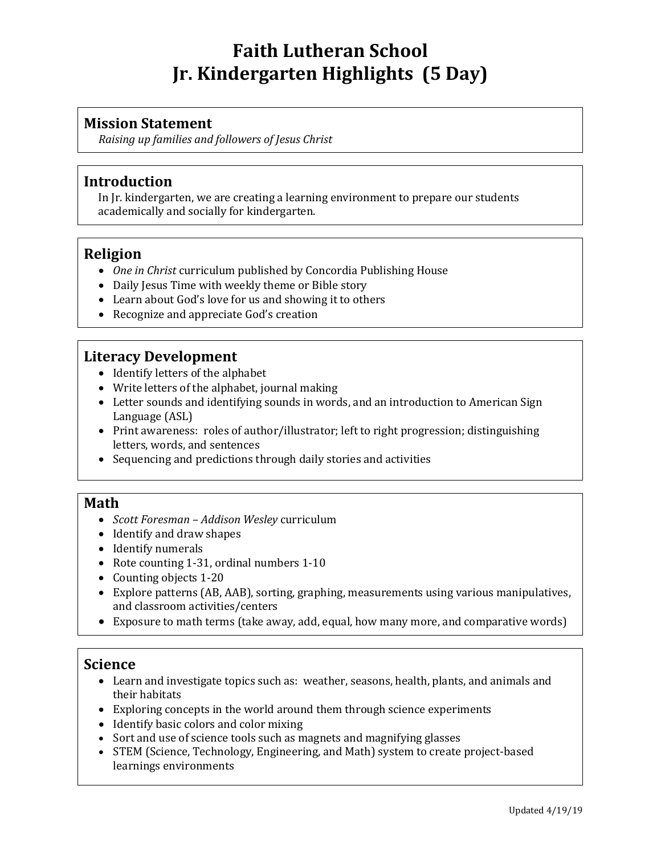# **Faith Lutheran School Jr. Kindergarten Highlights (5 Day)**

#### **Mission Statement**

*Raising up families and followers of Jesus Christ*

#### **Introduction**

In Jr. kindergarten, we are creating a learning environment to prepare our students academically and socially for kindergarten.

# **Religion**

- *One in Christ* curriculum published by Concordia Publishing House
- Daily Jesus Time with weekly theme or Bible story
- Learn about God's love for us and showing it to others
- Recognize and appreciate God's creation

# **Literacy Development**

- Identify letters of the alphabet
- Write letters of the alphabet, journal making
- Letter sounds and identifying sounds in words, and an introduction to American Sign Language (ASL)
- Print awareness: roles of author/illustrator; left to right progression; distinguishing letters, words, and sentences
- Sequencing and predictions through daily stories and activities

#### **Math**

- *Scott Foresman – Addison Wesley* curriculum
- Identify and draw shapes
- Identify numerals
- Rote counting 1-31, ordinal numbers 1-10
- Counting objects 1-20
- Explore patterns (AB, AAB), sorting, graphing, measurements using various manipulatives, and classroom activities/centers
- Exposure to math terms (take away, add, equal, how many more, and comparative words)

#### **Science**

- Learn and investigate topics such as: weather, seasons, health, plants, and animals and their habitats
- Exploring concepts in the world around them through science experiments
- Identify basic colors and color mixing
- Sort and use of science tools such as magnets and magnifying glasses
- STEM (Science, Technology, Engineering, and Math) system to create project-based learnings environments